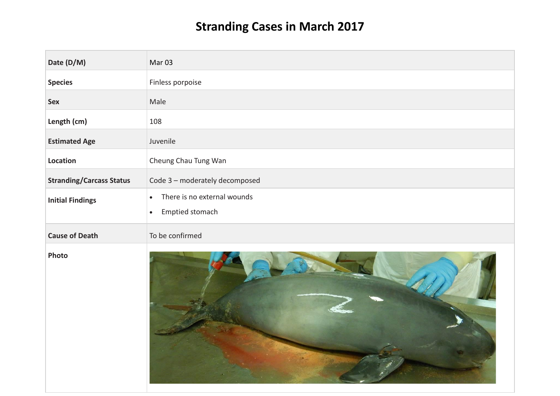## **Stranding Cases in March 2017**

| Date (D/M)                      | Mar <sub>03</sub>                                                        |
|---------------------------------|--------------------------------------------------------------------------|
| <b>Species</b>                  | Finless porpoise                                                         |
| <b>Sex</b>                      | Male                                                                     |
| Length (cm)                     | 108                                                                      |
| <b>Estimated Age</b>            | Juvenile                                                                 |
| Location                        | Cheung Chau Tung Wan                                                     |
| <b>Stranding/Carcass Status</b> | Code 3 - moderately decomposed                                           |
| <b>Initial Findings</b>         | There is no external wounds<br>$\bullet$<br>Emptied stomach<br>$\bullet$ |
| <b>Cause of Death</b>           | To be confirmed                                                          |
| Photo                           |                                                                          |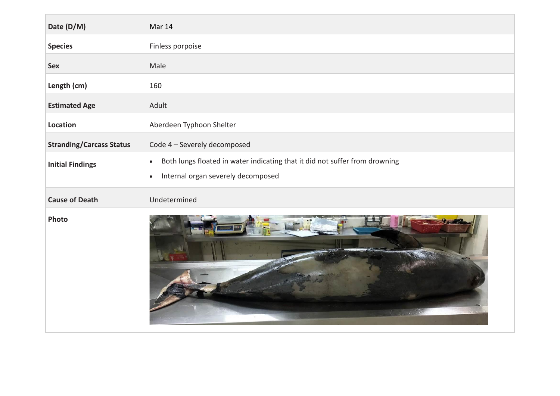| Date (D/M)                      | Mar 14                                                                                                                                      |
|---------------------------------|---------------------------------------------------------------------------------------------------------------------------------------------|
| <b>Species</b>                  | Finless porpoise                                                                                                                            |
| <b>Sex</b>                      | Male                                                                                                                                        |
| Length (cm)                     | 160                                                                                                                                         |
| <b>Estimated Age</b>            | Adult                                                                                                                                       |
| Location                        | Aberdeen Typhoon Shelter                                                                                                                    |
| <b>Stranding/Carcass Status</b> | Code 4 - Severely decomposed                                                                                                                |
| <b>Initial Findings</b>         | Both lungs floated in water indicating that it did not suffer from drowning<br>$\bullet$<br>Internal organ severely decomposed<br>$\bullet$ |
| <b>Cause of Death</b>           | Undetermined                                                                                                                                |
| Photo                           |                                                                                                                                             |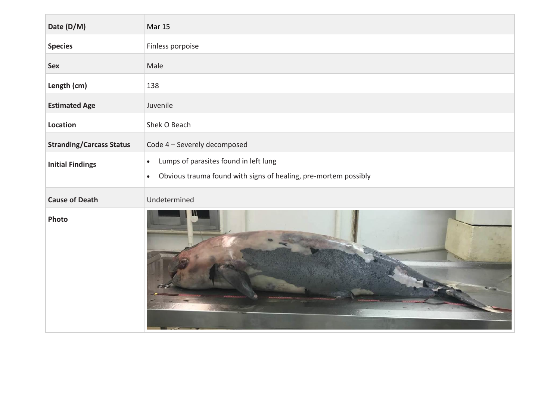| Date (D/M)                      | <b>Mar 15</b>                                                                                                                      |
|---------------------------------|------------------------------------------------------------------------------------------------------------------------------------|
| <b>Species</b>                  | Finless porpoise                                                                                                                   |
| <b>Sex</b>                      | Male                                                                                                                               |
| Length (cm)                     | 138                                                                                                                                |
| <b>Estimated Age</b>            | Juvenile                                                                                                                           |
| Location                        | Shek O Beach                                                                                                                       |
| <b>Stranding/Carcass Status</b> | Code 4 - Severely decomposed                                                                                                       |
| <b>Initial Findings</b>         | Lumps of parasites found in left lung<br>$\bullet$<br>Obvious trauma found with signs of healing, pre-mortem possibly<br>$\bullet$ |
| <b>Cause of Death</b>           | Undetermined                                                                                                                       |
| Photo                           |                                                                                                                                    |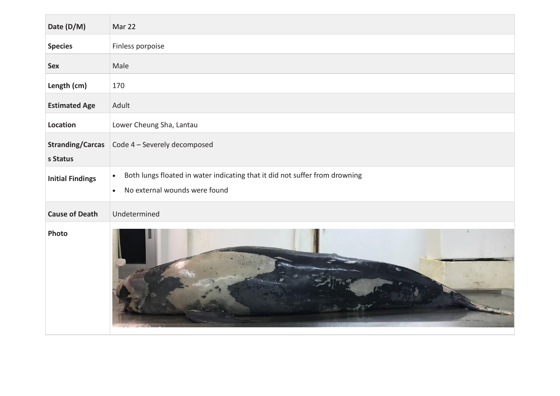| Date (D/M)                          | Mar 22                                                                                                                                 |
|-------------------------------------|----------------------------------------------------------------------------------------------------------------------------------------|
| <b>Species</b>                      | Finless porpoise                                                                                                                       |
| <b>Sex</b>                          | Male                                                                                                                                   |
| Length (cm)                         | 170                                                                                                                                    |
| <b>Estimated Age</b>                | Adult                                                                                                                                  |
| Location                            | Lower Cheung Sha, Lantau                                                                                                               |
| <b>Stranding/Carcas</b><br>s Status | Code 4 - Severely decomposed                                                                                                           |
| <b>Initial Findings</b>             | Both lungs floated in water indicating that it did not suffer from drowning<br>$\bullet$<br>No external wounds were found<br>$\bullet$ |
| <b>Cause of Death</b>               | Undetermined                                                                                                                           |
| Photo                               |                                                                                                                                        |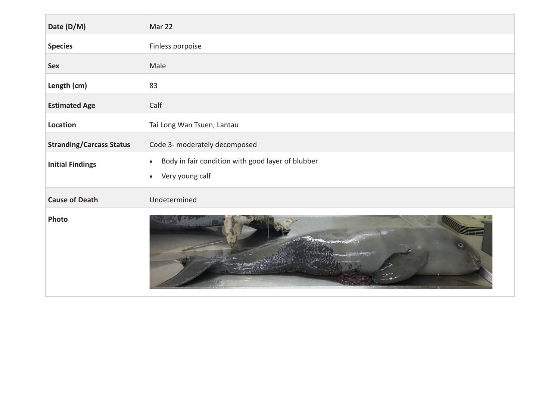| Date (D/M)                      | Mar 22                                                         |
|---------------------------------|----------------------------------------------------------------|
| <b>Species</b>                  | Finless porpoise                                               |
| <b>Sex</b>                      | Male                                                           |
| Length (cm)                     | 83                                                             |
| <b>Estimated Age</b>            | Calf                                                           |
| Location                        | Tai Long Wan Tsuen, Lantau                                     |
| <b>Stranding/Carcass Status</b> | Code 3- moderately decomposed                                  |
| <b>Initial Findings</b>         | Body in fair condition with good layer of blubber<br>$\bullet$ |
|                                 | Very young calf<br>$\bullet$                                   |
| <b>Cause of Death</b>           | Undetermined                                                   |
| Photo                           |                                                                |